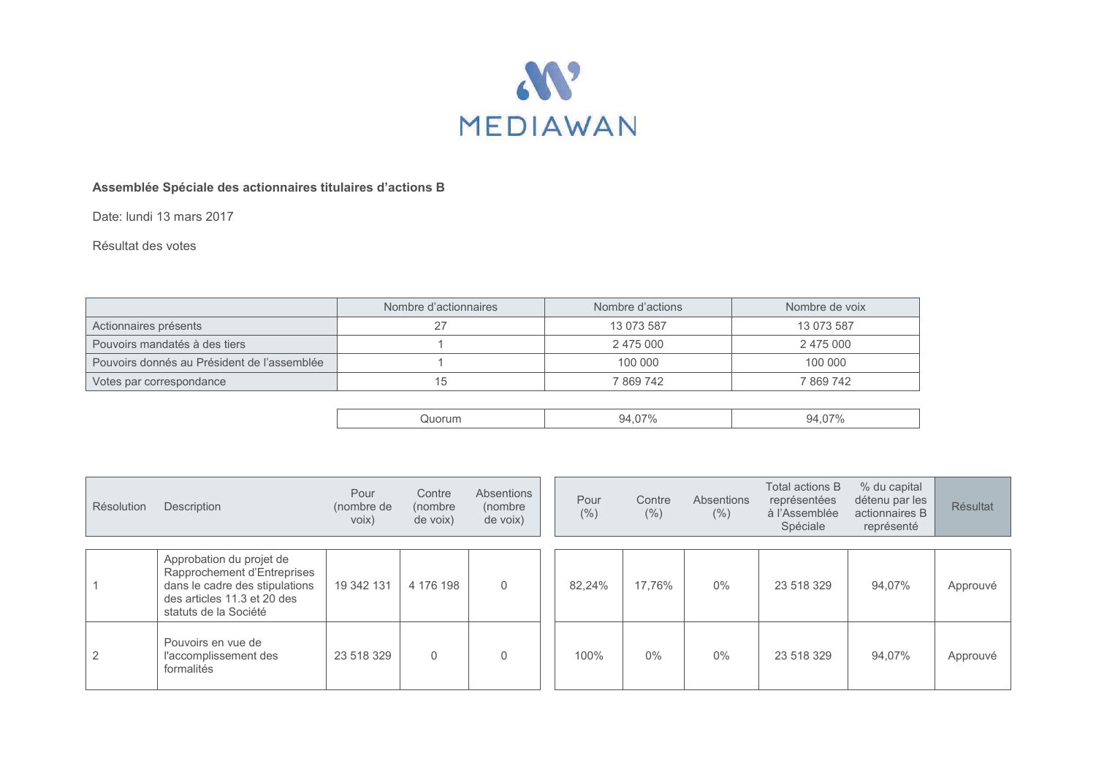

## **Assemblée Spéciale des actionnaires titulaires d'actions B**

Date: lundi 13 mars 2017

## Résultat des votes

|                                             | Nombre d'actionnaires | Nombre d'actions | Nombre de voix |  |  |
|---------------------------------------------|-----------------------|------------------|----------------|--|--|
| Actionnaires présents                       | 27                    | 13 073 587       | 13 073 587     |  |  |
| Pouvoirs mandatés à des tiers               |                       | 2 475 000        | 2 475 000      |  |  |
| Pouvoirs donnés au Président de l'assemblée |                       | 100 000          | 100 000        |  |  |
| Votes par correspondance                    | 15                    | 7 869 742        | 7869742        |  |  |

| Résolution     | Description                                                                                                                                       | Pour<br>(nombre de<br>voix) | Contre<br>(nombre<br>de voix) | Absentions<br>(nombre<br>de voix) | Pour<br>(%) | Contre<br>(% ) | Absentions<br>(% ) | Total actions B<br>représentées<br>à l'Assemblée<br>Spéciale | % du capital<br>détenu par les<br>actionnaires B<br>représenté | <b>Résultat</b> |
|----------------|---------------------------------------------------------------------------------------------------------------------------------------------------|-----------------------------|-------------------------------|-----------------------------------|-------------|----------------|--------------------|--------------------------------------------------------------|----------------------------------------------------------------|-----------------|
|                |                                                                                                                                                   |                             |                               |                                   |             |                |                    |                                                              |                                                                |                 |
|                | Approbation du projet de<br>Rapprochement d'Entreprises<br>dans le cadre des stipulations<br>des articles 11.3 et 20 des<br>statuts de la Société | 19 342 131                  | 4 176 198                     | $\mathbf 0$                       | 82.24%      | 17.76%         | 0%                 | 23 518 329                                                   | 94.07%                                                         | Approuvé        |
| $\overline{2}$ | Pouvoirs en vue de<br>l'accomplissement des<br>formalités                                                                                         | 23 518 329                  | $\Omega$                      | $\mathbf{0}$                      | 100%        | 0%             | $0\%$              | 23 518 329                                                   | 94.07%                                                         | Approuvé        |